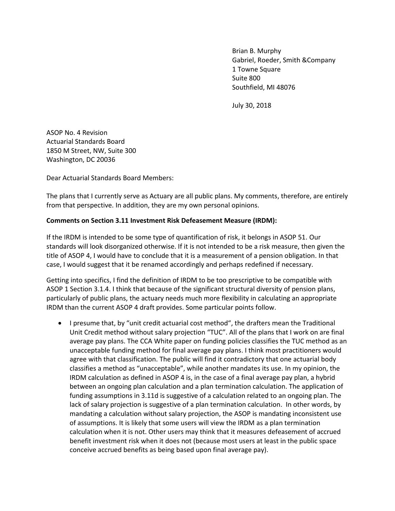Brian B. Murphy Gabriel, Roeder, Smith &Company 1 Towne Square Suite 800 Southfield, MI 48076

July 30, 2018

ASOP No. 4 Revision Actuarial Standards Board 1850 M Street, NW, Suite 300 Washington, DC 20036

Dear Actuarial Standards Board Members:

The plans that I currently serve as Actuary are all public plans. My comments, therefore, are entirely from that perspective. In addition, they are my own personal opinions.

#### **Comments on Section 3.11 Investment Risk Defeasement Measure (IRDM):**

If the IRDM is intended to be some type of quantification of risk, it belongs in ASOP 51. Our standards will look disorganized otherwise. If it is not intended to be a risk measure, then given the title of ASOP 4, I would have to conclude that it is a measurement of a pension obligation. In that case, I would suggest that it be renamed accordingly and perhaps redefined if necessary.

Getting into specifics, I find the definition of IRDM to be too prescriptive to be compatible with ASOP 1 Section 3.1.4. I think that because of the significant structural diversity of pension plans, particularly of public plans, the actuary needs much more flexibility in calculating an appropriate IRDM than the current ASOP 4 draft provides. Some particular points follow.

 I presume that, by "unit credit actuarial cost method", the drafters mean the Traditional Unit Credit method without salary projection "TUC". All of the plans that I work on are final average pay plans. The CCA White paper on funding policies classifies the TUC method as an unacceptable funding method for final average pay plans. I think most practitioners would agree with that classification. The public will find it contradictory that one actuarial body classifies a method as "unacceptable", while another mandates its use. In my opinion, the IRDM calculation as defined in ASOP 4 is, in the case of a final average pay plan, a hybrid between an ongoing plan calculation and a plan termination calculation. The application of funding assumptions in 3.11d is suggestive of a calculation related to an ongoing plan. The lack of salary projection is suggestive of a plan termination calculation. In other words, by mandating a calculation without salary projection, the ASOP is mandating inconsistent use of assumptions. It is likely that some users will view the IRDM as a plan termination calculation when it is not. Other users may think that it measures defeasement of accrued benefit investment risk when it does not (because most users at least in the public space conceive accrued benefits as being based upon final average pay).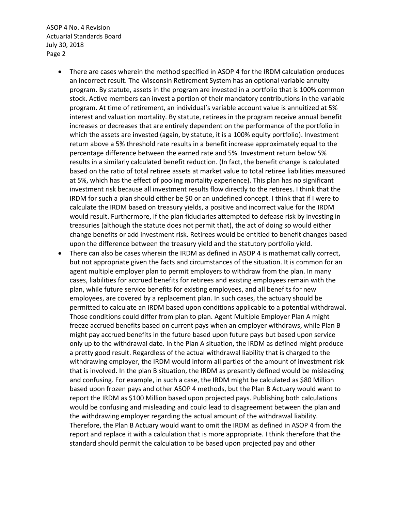- There are cases wherein the method specified in ASOP 4 for the IRDM calculation produces an incorrect result. The Wisconsin Retirement System has an optional variable annuity program. By statute, assets in the program are invested in a portfolio that is 100% common stock. Active members can invest a portion of their mandatory contributions in the variable program. At time of retirement, an individual's variable account value is annuitized at 5% interest and valuation mortality. By statute, retirees in the program receive annual benefit increases or decreases that are entirely dependent on the performance of the portfolio in which the assets are invested (again, by statute, it is a 100% equity portfolio). Investment return above a 5% threshold rate results in a benefit increase approximately equal to the percentage difference between the earned rate and 5%. Investment return below 5% results in a similarly calculated benefit reduction. (In fact, the benefit change is calculated based on the ratio of total retiree assets at market value to total retiree liabilities measured at 5%, which has the effect of pooling mortality experience). This plan has no significant investment risk because all investment results flow directly to the retirees. I think that the IRDM for such a plan should either be \$0 or an undefined concept. I think that if I were to calculate the IRDM based on treasury yields, a positive and incorrect value for the IRDM would result. Furthermore, if the plan fiduciaries attempted to defease risk by investing in treasuries (although the statute does not permit that), the act of doing so would either change benefits or add investment risk. Retirees would be entitled to benefit changes based upon the difference between the treasury yield and the statutory portfolio yield.
- There can also be cases wherein the IRDM as defined in ASOP 4 is mathematically correct, but not appropriate given the facts and circumstances of the situation. It is common for an agent multiple employer plan to permit employers to withdraw from the plan. In many cases, liabilities for accrued benefits for retirees and existing employees remain with the plan, while future service benefits for existing employees, and all benefits for new employees, are covered by a replacement plan. In such cases, the actuary should be permitted to calculate an IRDM based upon conditions applicable to a potential withdrawal. Those conditions could differ from plan to plan. Agent Multiple Employer Plan A might freeze accrued benefits based on current pays when an employer withdraws, while Plan B might pay accrued benefits in the future based upon future pays but based upon service only up to the withdrawal date. In the Plan A situation, the IRDM as defined might produce a pretty good result. Regardless of the actual withdrawal liability that is charged to the withdrawing employer, the IRDM would inform all parties of the amount of investment risk that is involved. In the plan B situation, the IRDM as presently defined would be misleading and confusing. For example, in such a case, the IRDM might be calculated as \$80 Million based upon frozen pays and other ASOP 4 methods, but the Plan B Actuary would want to report the IRDM as \$100 Million based upon projected pays. Publishing both calculations would be confusing and misleading and could lead to disagreement between the plan and the withdrawing employer regarding the actual amount of the withdrawal liability. Therefore, the Plan B Actuary would want to omit the IRDM as defined in ASOP 4 from the report and replace it with a calculation that is more appropriate. I think therefore that the standard should permit the calculation to be based upon projected pay and other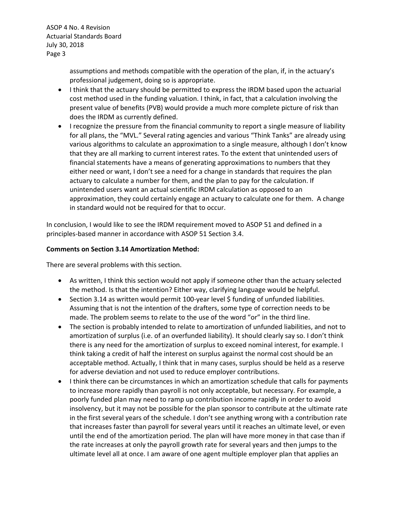> assumptions and methods compatible with the operation of the plan, if, in the actuary's professional judgement, doing so is appropriate.

- I think that the actuary should be permitted to express the IRDM based upon the actuarial cost method used in the funding valuation. I think, in fact, that a calculation involving the present value of benefits (PVB) would provide a much more complete picture of risk than does the IRDM as currently defined.
- I recognize the pressure from the financial community to report a single measure of liability for all plans, the "MVL." Several rating agencies and various "Think Tanks" are already using various algorithms to calculate an approximation to a single measure, although I don't know that they are all marking to current interest rates. To the extent that unintended users of financial statements have a means of generating approximations to numbers that they either need or want, I don't see a need for a change in standards that requires the plan actuary to calculate a number for them, and the plan to pay for the calculation. If unintended users want an actual scientific IRDM calculation as opposed to an approximation, they could certainly engage an actuary to calculate one for them. A change in standard would not be required for that to occur.

In conclusion, I would like to see the IRDM requirement moved to ASOP 51 and defined in a principles-based manner in accordance with ASOP 51 Section 3.4.

#### **Comments on Section 3.14 Amortization Method:**

There are several problems with this section.

- As written, I think this section would not apply if someone other than the actuary selected the method. Is that the intention? Either way, clarifying language would be helpful.
- Section 3.14 as written would permit 100-year level \$ funding of unfunded liabilities. Assuming that is not the intention of the drafters, some type of correction needs to be made. The problem seems to relate to the use of the word "or" in the third line.
- The section is probably intended to relate to amortization of unfunded liabilities, and not to amortization of surplus (i.e. of an overfunded liability). It should clearly say so. I don't think there is any need for the amortization of surplus to exceed nominal interest, for example. I think taking a credit of half the interest on surplus against the normal cost should be an acceptable method. Actually, I think that in many cases, surplus should be held as a reserve for adverse deviation and not used to reduce employer contributions.
- I think there can be circumstances in which an amortization schedule that calls for payments to increase more rapidly than payroll is not only acceptable, but necessary. For example, a poorly funded plan may need to ramp up contribution income rapidly in order to avoid insolvency, but it may not be possible for the plan sponsor to contribute at the ultimate rate in the first several years of the schedule. I don't see anything wrong with a contribution rate that increases faster than payroll for several years until it reaches an ultimate level, or even until the end of the amortization period. The plan will have more money in that case than if the rate increases at only the payroll growth rate for several years and then jumps to the ultimate level all at once. I am aware of one agent multiple employer plan that applies an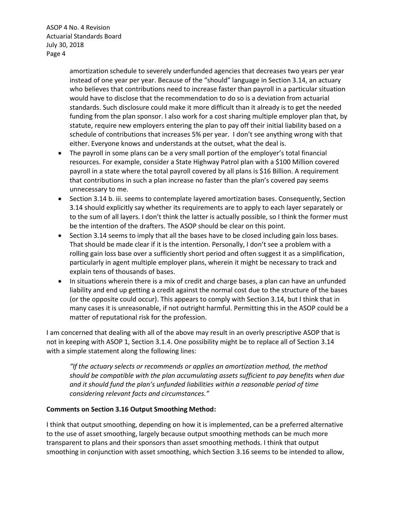> amortization schedule to severely underfunded agencies that decreases two years per year instead of one year per year. Because of the "should" language in Section 3.14, an actuary who believes that contributions need to increase faster than payroll in a particular situation would have to disclose that the recommendation to do so is a deviation from actuarial standards. Such disclosure could make it more difficult than it already is to get the needed funding from the plan sponsor. I also work for a cost sharing multiple employer plan that, by statute, require new employers entering the plan to pay off their initial liability based on a schedule of contributions that increases 5% per year. I don't see anything wrong with that either. Everyone knows and understands at the outset, what the deal is.

- The payroll in some plans can be a very small portion of the employer's total financial resources. For example, consider a State Highway Patrol plan with a \$100 Million covered payroll in a state where the total payroll covered by all plans is \$16 Billion. A requirement that contributions in such a plan increase no faster than the plan's covered pay seems unnecessary to me.
- Section 3.14 b. iii. seems to contemplate layered amortization bases. Consequently, Section 3.14 should explicitly say whether its requirements are to apply to each layer separately or to the sum of all layers. I don't think the latter is actually possible, so I think the former must be the intention of the drafters. The ASOP should be clear on this point.
- Section 3.14 seems to imply that all the bases have to be closed including gain loss bases. That should be made clear if it is the intention. Personally, I don't see a problem with a rolling gain loss base over a sufficiently short period and often suggest it as a simplification, particularly in agent multiple employer plans, wherein it might be necessary to track and explain tens of thousands of bases.
- In situations wherein there is a mix of credit and charge bases, a plan can have an unfunded liability and end up getting a credit against the normal cost due to the structure of the bases (or the opposite could occur). This appears to comply with Section 3.14, but I think that in many cases it is unreasonable, if not outright harmful. Permitting this in the ASOP could be a matter of reputational risk for the profession.

I am concerned that dealing with all of the above may result in an overly prescriptive ASOP that is not in keeping with ASOP 1, Section 3.1.4. One possibility might be to replace all of Section 3.14 with a simple statement along the following lines:

*"If the actuary selects or recommends or applies an amortization method, the method should be compatible with the plan accumulating assets sufficient to pay benefits when due and it should fund the plan's unfunded liabilities within a reasonable period of time considering relevant facts and circumstances."*

## **Comments on Section 3.16 Output Smoothing Method:**

I think that output smoothing, depending on how it is implemented, can be a preferred alternative to the use of asset smoothing, largely because output smoothing methods can be much more transparent to plans and their sponsors than asset smoothing methods. I think that output smoothing in conjunction with asset smoothing, which Section 3.16 seems to be intended to allow,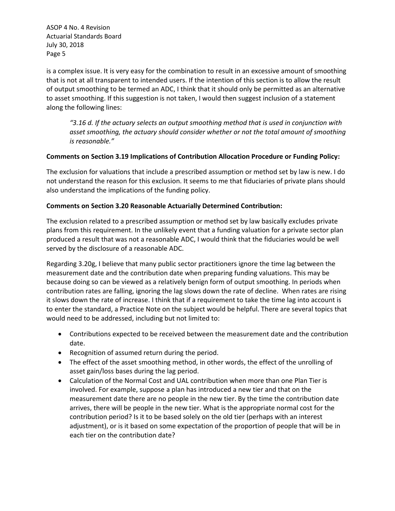is a complex issue. It is very easy for the combination to result in an excessive amount of smoothing that is not at all transparent to intended users. If the intention of this section is to allow the result of output smoothing to be termed an ADC, I think that it should only be permitted as an alternative to asset smoothing. If this suggestion is not taken, I would then suggest inclusion of a statement along the following lines:

*"3.16 d. If the actuary selects an output smoothing method that is used in conjunction with asset smoothing, the actuary should consider whether or not the total amount of smoothing is reasonable."*

## **Comments on Section 3.19 Implications of Contribution Allocation Procedure or Funding Policy:**

The exclusion for valuations that include a prescribed assumption or method set by law is new. I do not understand the reason for this exclusion. It seems to me that fiduciaries of private plans should also understand the implications of the funding policy.

# **Comments on Section 3.20 Reasonable Actuarially Determined Contribution:**

The exclusion related to a prescribed assumption or method set by law basically excludes private plans from this requirement. In the unlikely event that a funding valuation for a private sector plan produced a result that was not a reasonable ADC, I would think that the fiduciaries would be well served by the disclosure of a reasonable ADC.

Regarding 3.20g, I believe that many public sector practitioners ignore the time lag between the measurement date and the contribution date when preparing funding valuations. This may be because doing so can be viewed as a relatively benign form of output smoothing. In periods when contribution rates are falling, ignoring the lag slows down the rate of decline. When rates are rising it slows down the rate of increase. I think that if a requirement to take the time lag into account is to enter the standard, a Practice Note on the subject would be helpful. There are several topics that would need to be addressed, including but not limited to:

- Contributions expected to be received between the measurement date and the contribution date.
- Recognition of assumed return during the period.
- The effect of the asset smoothing method, in other words, the effect of the unrolling of asset gain/loss bases during the lag period.
- Calculation of the Normal Cost and UAL contribution when more than one Plan Tier is involved. For example, suppose a plan has introduced a new tier and that on the measurement date there are no people in the new tier. By the time the contribution date arrives, there will be people in the new tier. What is the appropriate normal cost for the contribution period? Is it to be based solely on the old tier (perhaps with an interest adjustment), or is it based on some expectation of the proportion of people that will be in each tier on the contribution date?